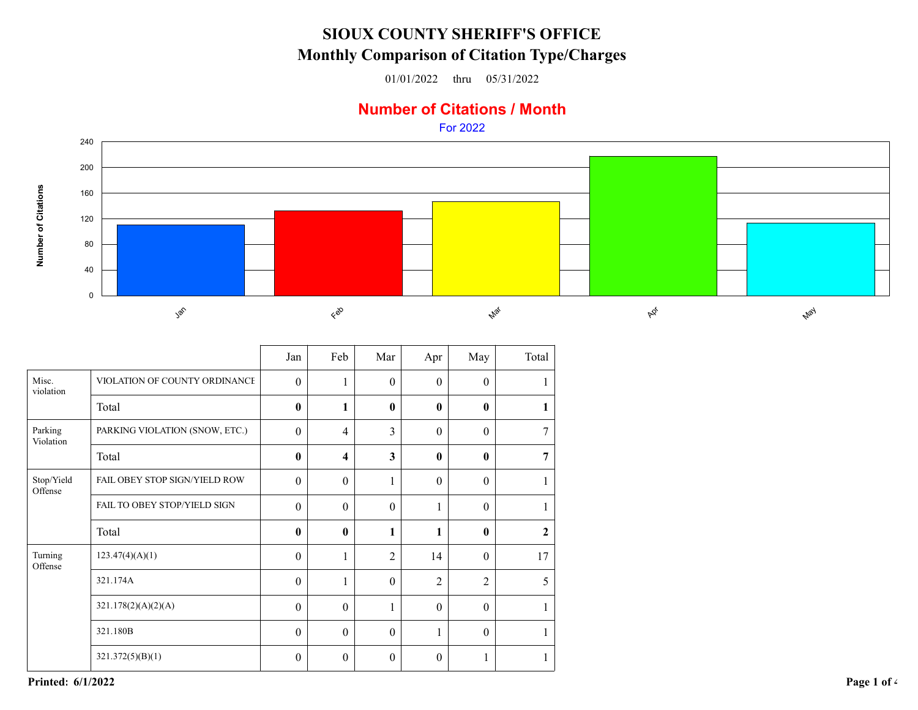## **SIOUX COUNTY SHERIFF'S OFFICEMonthly Comparison of Citation Type/Charges**

01/01/2022 thru 05/31/2022

## **Number of Citations / Month**

For 2022



| Misc.<br>VIOLATION OF COUNTY ORDINANCE<br>$\theta$<br>$\theta$<br>$\theta$<br>$\theta$<br>1<br>violation<br>Total<br>$\bf{0}$<br>$\mathbf{0}$<br>1<br>$\mathbf{0}$<br>$\mathbf{0}$<br>1<br>Parking<br>PARKING VIOLATION (SNOW, ETC.)<br>3<br>$\theta$<br>$7\overline{ }$<br>$\Omega$<br>$\overline{4}$<br>$\Omega$<br>Violation<br>3<br>$\overline{7}$<br>$\mathbf{0}$<br>$\mathbf{0}$<br>$\mathbf{0}$<br>Total<br>$\overline{\mathbf{4}}$<br>FAIL OBEY STOP SIGN/YIELD ROW<br>Stop/Yield<br>$\theta$<br>$\theta$<br>$\theta$<br>$\theta$<br>$\mathbf{1}$<br>1<br>Offense<br>FAIL TO OBEY STOP/YIELD SIGN<br>$\mathbf{0}$<br>$\theta$<br>$\theta$<br>$\theta$<br>1<br>$\mathbf{1}$<br>Total<br>$\bf{0}$<br>$\mathbf{0}$<br>1<br>$\mathbf{0}$<br>$\mathbf{2}$<br>Turning<br>123.47(4)(A)(1)<br>$\overline{2}$<br>17<br>$\theta$<br>14<br>$\theta$<br>1<br>Offense<br>321.174A<br>$\boldsymbol{0}$<br>$\overline{2}$<br>$\overline{2}$<br>5<br>$\boldsymbol{0}$<br>1<br>321.178(2)(A)(2)(A)<br>$\boldsymbol{0}$<br>$\mathbf{0}$<br>$\mathbf{1}$<br>$\mathbf{0}$<br>$\theta$<br>1<br>321.180B<br>$\mathbf{0}$<br>$\boldsymbol{0}$<br>$\theta$<br>$\theta$<br>1<br>321.372(5)(B)(1)<br>$\mathbf{0}$<br>$\mathbf{0}$<br>$\theta$<br>$\theta$<br>1<br>1 |  | Jan | Feb | Mar | Apr | May | Total |
|---------------------------------------------------------------------------------------------------------------------------------------------------------------------------------------------------------------------------------------------------------------------------------------------------------------------------------------------------------------------------------------------------------------------------------------------------------------------------------------------------------------------------------------------------------------------------------------------------------------------------------------------------------------------------------------------------------------------------------------------------------------------------------------------------------------------------------------------------------------------------------------------------------------------------------------------------------------------------------------------------------------------------------------------------------------------------------------------------------------------------------------------------------------------------------------------------------------------------------------------------|--|-----|-----|-----|-----|-----|-------|
|                                                                                                                                                                                                                                                                                                                                                                                                                                                                                                                                                                                                                                                                                                                                                                                                                                                                                                                                                                                                                                                                                                                                                                                                                                                   |  |     |     |     |     |     |       |
|                                                                                                                                                                                                                                                                                                                                                                                                                                                                                                                                                                                                                                                                                                                                                                                                                                                                                                                                                                                                                                                                                                                                                                                                                                                   |  |     |     |     |     |     |       |
|                                                                                                                                                                                                                                                                                                                                                                                                                                                                                                                                                                                                                                                                                                                                                                                                                                                                                                                                                                                                                                                                                                                                                                                                                                                   |  |     |     |     |     |     |       |
|                                                                                                                                                                                                                                                                                                                                                                                                                                                                                                                                                                                                                                                                                                                                                                                                                                                                                                                                                                                                                                                                                                                                                                                                                                                   |  |     |     |     |     |     |       |
|                                                                                                                                                                                                                                                                                                                                                                                                                                                                                                                                                                                                                                                                                                                                                                                                                                                                                                                                                                                                                                                                                                                                                                                                                                                   |  |     |     |     |     |     |       |
|                                                                                                                                                                                                                                                                                                                                                                                                                                                                                                                                                                                                                                                                                                                                                                                                                                                                                                                                                                                                                                                                                                                                                                                                                                                   |  |     |     |     |     |     |       |
|                                                                                                                                                                                                                                                                                                                                                                                                                                                                                                                                                                                                                                                                                                                                                                                                                                                                                                                                                                                                                                                                                                                                                                                                                                                   |  |     |     |     |     |     |       |
|                                                                                                                                                                                                                                                                                                                                                                                                                                                                                                                                                                                                                                                                                                                                                                                                                                                                                                                                                                                                                                                                                                                                                                                                                                                   |  |     |     |     |     |     |       |
|                                                                                                                                                                                                                                                                                                                                                                                                                                                                                                                                                                                                                                                                                                                                                                                                                                                                                                                                                                                                                                                                                                                                                                                                                                                   |  |     |     |     |     |     |       |
|                                                                                                                                                                                                                                                                                                                                                                                                                                                                                                                                                                                                                                                                                                                                                                                                                                                                                                                                                                                                                                                                                                                                                                                                                                                   |  |     |     |     |     |     |       |
|                                                                                                                                                                                                                                                                                                                                                                                                                                                                                                                                                                                                                                                                                                                                                                                                                                                                                                                                                                                                                                                                                                                                                                                                                                                   |  |     |     |     |     |     |       |
|                                                                                                                                                                                                                                                                                                                                                                                                                                                                                                                                                                                                                                                                                                                                                                                                                                                                                                                                                                                                                                                                                                                                                                                                                                                   |  |     |     |     |     |     |       |

**Printed: 6/1/2022**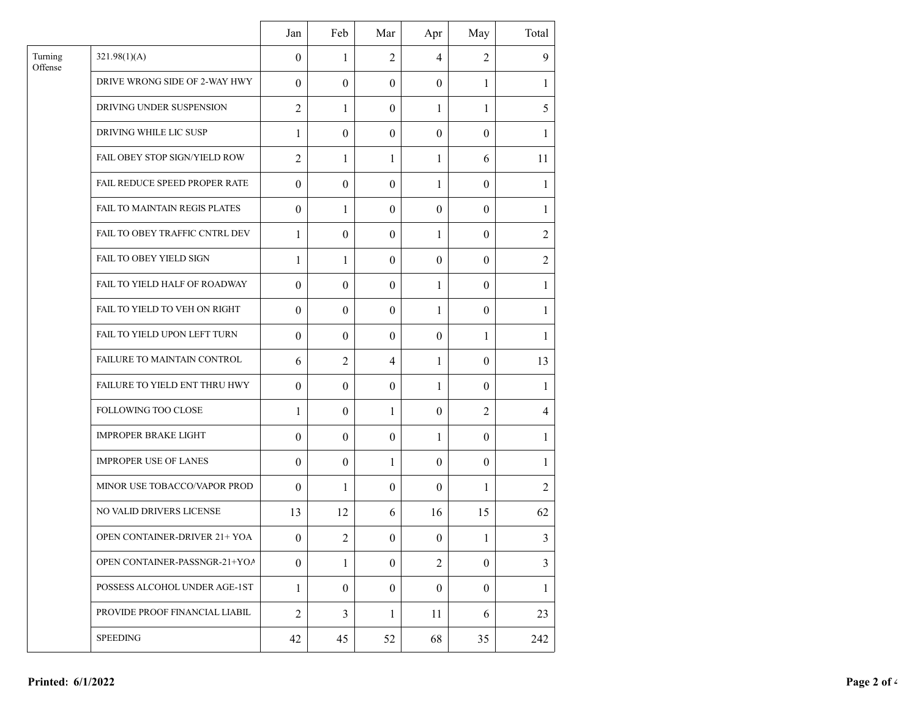|                    |                                      | Jan              | Feb              | Mar              | Apr              | May              | Total          |
|--------------------|--------------------------------------|------------------|------------------|------------------|------------------|------------------|----------------|
| Turning<br>Offense | 321.98(1)(A)                         | $\mathbf{0}$     | 1                | $\overline{2}$   | $\overline{4}$   | $\overline{2}$   | 9              |
|                    | DRIVE WRONG SIDE OF 2-WAY HWY        | $\theta$         | $\theta$         | $\theta$         | $\theta$         | 1                | 1              |
|                    | DRIVING UNDER SUSPENSION             | $\overline{2}$   | 1                | $\theta$         | 1                | 1                | 5              |
|                    | DRIVING WHILE LIC SUSP               | $\mathbf{1}$     | $\theta$         | $\theta$         | $\theta$         | $\theta$         | 1              |
|                    | FAIL OBEY STOP SIGN/YIELD ROW        | $\overline{2}$   | 1                | 1                | 1                | 6                | 11             |
|                    | FAIL REDUCE SPEED PROPER RATE        | $\boldsymbol{0}$ | $\theta$         | $\theta$         | 1                | $\boldsymbol{0}$ | 1              |
|                    | FAIL TO MAINTAIN REGIS PLATES        | $\boldsymbol{0}$ | 1                | $\overline{0}$   | $\theta$         | $\boldsymbol{0}$ | $\mathbf{1}$   |
|                    | FAIL TO OBEY TRAFFIC CNTRL DEV       | 1                | $\mathbf{0}$     | $\theta$         | 1                | $\theta$         | $\overline{2}$ |
|                    | FAIL TO OBEY YIELD SIGN              | 1                | 1                | $\overline{0}$   | $\theta$         | $\theta$         | $\overline{2}$ |
|                    | FAIL TO YIELD HALF OF ROADWAY        | $\theta$         | $\mathbf{0}$     | $\theta$         | 1                | $\theta$         | $\mathbf{1}$   |
|                    | FAIL TO YIELD TO VEH ON RIGHT        | $\boldsymbol{0}$ | $\boldsymbol{0}$ | $\mathbf{0}$     | $\mathbf{1}$     | $\boldsymbol{0}$ | $\mathbf{1}$   |
|                    | FAIL TO YIELD UPON LEFT TURN         | $\boldsymbol{0}$ | $\theta$         | $\theta$         | $\mathbf{0}$     | 1                | 1              |
|                    | FAILURE TO MAINTAIN CONTROL          | 6                | $\overline{2}$   | 4                | 1                | $\theta$         | 13             |
|                    | FAILURE TO YIELD ENT THRU HWY        | $\boldsymbol{0}$ | $\theta$         | $\theta$         | 1                | $\theta$         | 1              |
|                    | FOLLOWING TOO CLOSE                  | $\mathbf{1}$     | $\theta$         | 1                | $\theta$         | $\overline{2}$   | $\overline{4}$ |
|                    | <b>IMPROPER BRAKE LIGHT</b>          | $\boldsymbol{0}$ | $\mathbf{0}$     | $\theta$         | 1                | $\mathbf{0}$     | 1              |
|                    | <b>IMPROPER USE OF LANES</b>         | $\boldsymbol{0}$ | $\boldsymbol{0}$ | 1                | $\boldsymbol{0}$ | $\boldsymbol{0}$ | 1              |
|                    | MINOR USE TOBACCO/VAPOR PROD         | $\theta$         | 1                | $\theta$         | $\theta$         | 1                | $\overline{2}$ |
|                    | NO VALID DRIVERS LICENSE             | 13               | 12               | 6                | 16               | 15               | 62             |
|                    | <b>OPEN CONTAINER-DRIVER 21+ YOA</b> | $\boldsymbol{0}$ | $\overline{c}$   | $\boldsymbol{0}$ | $\boldsymbol{0}$ | $\mathbf{1}$     | 3              |
|                    | OPEN CONTAINER-PASSNGR-21+YOA        | $\boldsymbol{0}$ | 1                | $\overline{0}$   | $\overline{2}$   | $\boldsymbol{0}$ | 3              |
|                    | POSSESS ALCOHOL UNDER AGE-1ST        | $\mathbf{1}$     | $\boldsymbol{0}$ | $\overline{0}$   | $\boldsymbol{0}$ | $\mathbf{0}$     | $\mathbf{1}$   |
|                    | PROVIDE PROOF FINANCIAL LIABIL       | $\overline{2}$   | 3                | $\mathbf{1}$     | 11               | 6                | 23             |
|                    | <b>SPEEDING</b>                      | 42               | 45               | 52               | 68               | 35               | 242            |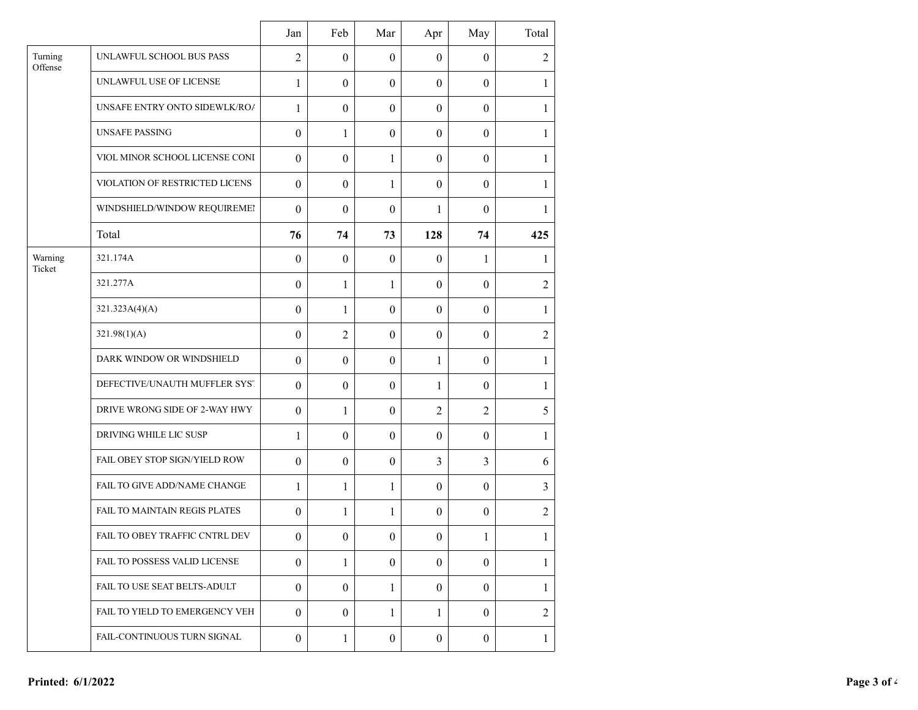|                    |                                | Jan              | Feb              | Mar              | Apr              | May              | Total          |
|--------------------|--------------------------------|------------------|------------------|------------------|------------------|------------------|----------------|
| Turning<br>Offense | UNLAWFUL SCHOOL BUS PASS       | $\overline{2}$   | $\boldsymbol{0}$ | $\theta$         | $\boldsymbol{0}$ | $\theta$         | $\overline{2}$ |
|                    | UNLAWFUL USE OF LICENSE        | $\mathbf{1}$     | $\boldsymbol{0}$ | $\boldsymbol{0}$ | $\boldsymbol{0}$ | $\theta$         | $\mathbf{1}$   |
|                    | UNSAFE ENTRY ONTO SIDEWLK/ROA  | $\mathbf{1}$     | $\boldsymbol{0}$ | $\theta$         | $\boldsymbol{0}$ | $\mathbf{0}$     | $\mathbf{1}$   |
|                    | <b>UNSAFE PASSING</b>          | $\boldsymbol{0}$ | $\mathbf{1}$     | $\boldsymbol{0}$ | $\boldsymbol{0}$ | $\theta$         | $\mathbf{1}$   |
|                    | VIOL MINOR SCHOOL LICENSE CONI | $\boldsymbol{0}$ | $\boldsymbol{0}$ | 1                | $\boldsymbol{0}$ | $\mathbf{0}$     | $\mathbf{1}$   |
|                    | VIOLATION OF RESTRICTED LICENS | $\boldsymbol{0}$ | $\mathbf{0}$     | 1                | $\boldsymbol{0}$ | $\theta$         | 1              |
|                    | WINDSHIELD/WINDOW REQUIREMEI   | $\boldsymbol{0}$ | $\boldsymbol{0}$ | $\theta$         | 1                | $\theta$         | 1              |
|                    | Total                          | 76               | 74               | 73               | 128              | 74               | 425            |
| Warning<br>Ticket  | 321.174A                       | $\boldsymbol{0}$ | $\mathbf{0}$     | $\boldsymbol{0}$ | $\boldsymbol{0}$ | 1                | 1              |
|                    | 321.277A                       | $\boldsymbol{0}$ | $\mathbf{1}$     | 1                | $\boldsymbol{0}$ | $\mathbf{0}$     | $\overline{2}$ |
|                    | 321.323A(4)(A)                 | $\boldsymbol{0}$ | $\mathbf{1}$     | $\theta$         | $\boldsymbol{0}$ | $\boldsymbol{0}$ | 1              |
|                    | 321.98(1)(A)                   | $\boldsymbol{0}$ | $\overline{2}$   | $\boldsymbol{0}$ | $\boldsymbol{0}$ | $\boldsymbol{0}$ | $\overline{2}$ |
|                    | DARK WINDOW OR WINDSHIELD      | $\boldsymbol{0}$ | $\mathbf{0}$     | $\theta$         | $\mathbf{1}$     | $\mathbf{0}$     | 1              |
|                    | DEFECTIVE/UNAUTH MUFFLER SYST  | $\boldsymbol{0}$ | $\boldsymbol{0}$ | $\boldsymbol{0}$ | $\mathbf{1}$     | $\boldsymbol{0}$ | $\mathbf{1}$   |
|                    | DRIVE WRONG SIDE OF 2-WAY HWY  | $\boldsymbol{0}$ | 1                | $\theta$         | $\overline{2}$   | $\overline{2}$   | 5              |
|                    | DRIVING WHILE LIC SUSP         | $\mathbf{1}$     | $\boldsymbol{0}$ | $\boldsymbol{0}$ | $\boldsymbol{0}$ | $\boldsymbol{0}$ | $\mathbf{1}$   |
|                    | FAIL OBEY STOP SIGN/YIELD ROW  | $\boldsymbol{0}$ | $\boldsymbol{0}$ | $\theta$         | 3                | $\overline{3}$   | 6              |
|                    | FAIL TO GIVE ADD/NAME CHANGE   | $\mathbf{1}$     | $\mathbf{1}$     | 1                | $\boldsymbol{0}$ | $\theta$         | 3              |
|                    | FAIL TO MAINTAIN REGIS PLATES  | $\boldsymbol{0}$ | $\mathbf{1}$     | 1                | $\boldsymbol{0}$ | $\mathbf{0}$     | $\overline{2}$ |
|                    | FAIL TO OBEY TRAFFIC CNTRL DEV | $\boldsymbol{0}$ | $\boldsymbol{0}$ | $\boldsymbol{0}$ | $\boldsymbol{0}$ | 1                | $\mathbf{1}$   |
|                    | FAIL TO POSSESS VALID LICENSE  | $\boldsymbol{0}$ | 1                | $\theta$         | $\mathbf{0}$     | $\Omega$         | 1              |
|                    | FAIL TO USE SEAT BELTS-ADULT   | $\mathbf{0}$     | $\overline{0}$   | $\mathbf{1}$     | $\overline{0}$   | $\mathbf{0}$     | $\mathbf{1}$   |
|                    | FAIL TO YIELD TO EMERGENCY VEH | $\theta$         | $\theta$         | 1                | $\mathbf{1}$     | $\Omega$         | $\overline{2}$ |
|                    | FAIL-CONTINUOUS TURN SIGNAL    | $\overline{0}$   | $\mathbf{1}$     | $\boldsymbol{0}$ | $\mathbf{0}$     | $\overline{0}$   | $\mathbf{1}$   |